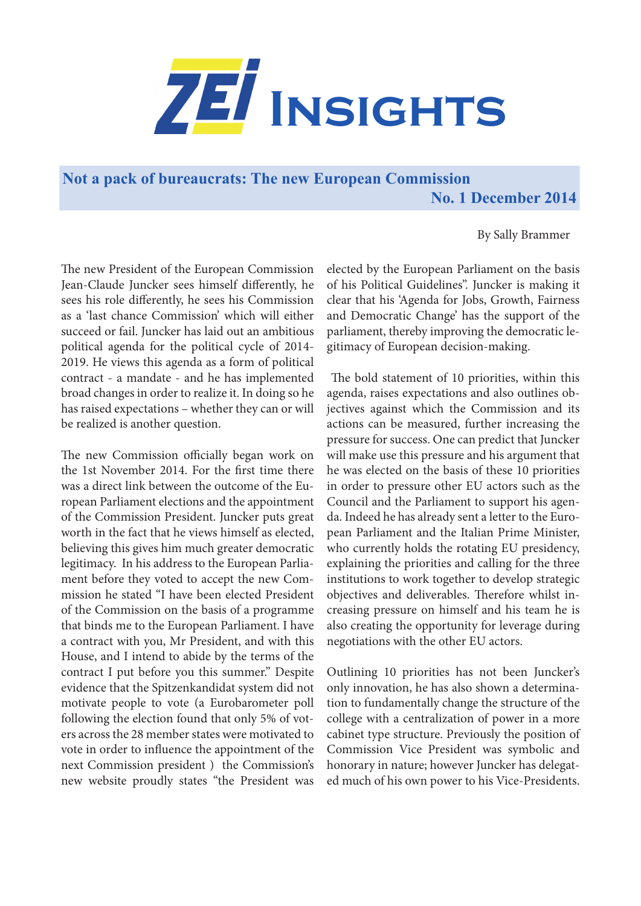

**Not a pack of bureaucrats: The new European Commission No. 1 December 2014**

By Sally Brammer

The new President of the European Commission Jean-Claude Juncker sees himself differently, he sees his role differently, he sees his Commission as a 'last chance Commission' which will either succeed or fail. Juncker has laid out an ambitious political agenda for the political cycle of 2014- 2019. He views this agenda as a form of political contract - a mandate - and he has implemented broad changes in order to realize it. In doing so he has raised expectations – whether they can or will be realized is another question.

The new Commission officially began work on the 1st November 2014. For the first time there was a direct link between the outcome of the European Parliament elections and the appointment of the Commission President. Juncker puts great worth in the fact that he views himself as elected, believing this gives him much greater democratic legitimacy. In his address to the European Parliament before they voted to accept the new Commission he stated "I have been elected President of the Commission on the basis of a programme that binds me to the European Parliament. I have a contract with you, Mr President, and with this House, and I intend to abide by the terms of the contract I put before you this summer." Despite evidence that the Spitzenkandidat system did not motivate people to vote (a Eurobarometer poll following the election found that only 5% of voters across the 28 member states were motivated to vote in order to influence the appointment of the next Commission president ) the Commission's new website proudly states "the President was elected by the European Parliament on the basis of his Political Guidelines". Juncker is making it clear that his 'Agenda for Jobs, Growth, Fairness and Democratic Change' has the support of the parliament, thereby improving the democratic legitimacy of European decision-making.

 The bold statement of 10 priorities, within this agenda, raises expectations and also outlines objectives against which the Commission and its actions can be measured, further increasing the pressure for success. One can predict that Juncker will make use this pressure and his argument that he was elected on the basis of these 10 priorities in order to pressure other EU actors such as the Council and the Parliament to support his agenda. Indeed he has already sent a letter to the European Parliament and the Italian Prime Minister, who currently holds the rotating EU presidency, explaining the priorities and calling for the three institutions to work together to develop strategic objectives and deliverables. Therefore whilst increasing pressure on himself and his team he is also creating the opportunity for leverage during negotiations with the other EU actors.

Outlining 10 priorities has not been Juncker's only innovation, he has also shown a determination to fundamentally change the structure of the college with a centralization of power in a more cabinet type structure. Previously the position of Commission Vice President was symbolic and honorary in nature; however Juncker has delegated much of his own power to his Vice-Presidents.